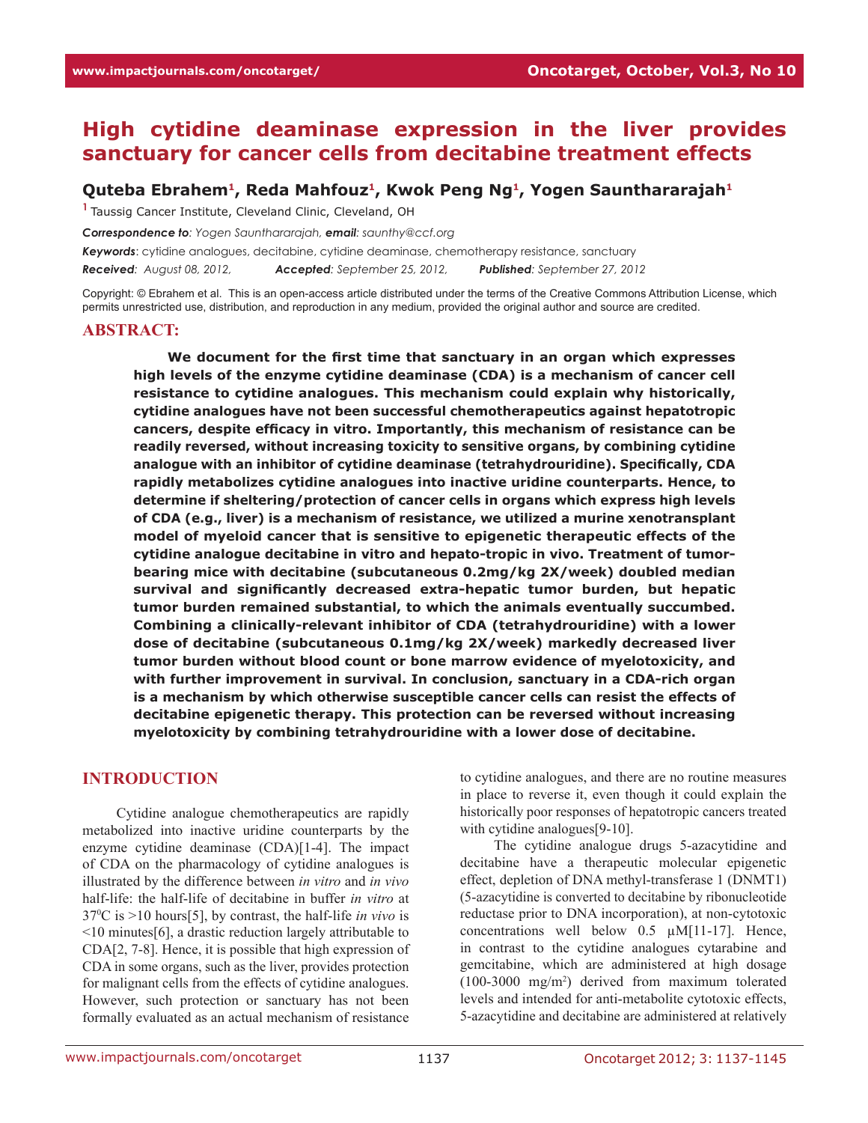# **High cytidine deaminase expression in the liver provides sanctuary for cancer cells from decitabine treatment effects**

#### **Quteba Ebrahem1, Reda Mahfouz1, Kwok Peng Ng1, Yogen Saunthararajah1**

**<sup>1</sup>**Taussig Cancer Institute, Cleveland Clinic, Cleveland, OH

*Correspondence to: Yogen Saunthararajah, email: saunthy@ccf.org*

*Keywords*: cytidine analogues, decitabine, cytidine deaminase, chemotherapy resistance, sanctuary *Received: August 08, 2012, Accepted: September 25, 2012, Published: September 27, 2012*

Copyright: © Ebrahem et al. This is an open-access article distributed under the terms of the Creative Commons Attribution License, which permits unrestricted use, distribution, and reproduction in any medium, provided the original author and source are credited.

#### **Abstract:**

**We document for the first time that sanctuary in an organ which expresses high levels of the enzyme cytidine deaminase (CDA) is a mechanism of cancer cell resistance to cytidine analogues. This mechanism could explain why historically, cytidine analogues have not been successful chemotherapeutics against hepatotropic cancers, despite efficacy in vitro. Importantly, this mechanism of resistance can be readily reversed, without increasing toxicity to sensitive organs, by combining cytidine analogue with an inhibitor of cytidine deaminase (tetrahydrouridine). Specifically, CDA rapidly metabolizes cytidine analogues into inactive uridine counterparts. Hence, to determine if sheltering/protection of cancer cells in organs which express high levels of CDA (e.g., liver) is a mechanism of resistance, we utilized a murine xenotransplant model of myeloid cancer that is sensitive to epigenetic therapeutic effects of the cytidine analogue decitabine in vitro and hepato-tropic in vivo. Treatment of tumorbearing mice with decitabine (subcutaneous 0.2mg/kg 2X/week) doubled median survival and significantly decreased extra-hepatic tumor burden, but hepatic tumor burden remained substantial, to which the animals eventually succumbed. Combining a clinically-relevant inhibitor of CDA (tetrahydrouridine) with a lower dose of decitabine (subcutaneous 0.1mg/kg 2X/week) markedly decreased liver tumor burden without blood count or bone marrow evidence of myelotoxicity, and with further improvement in survival. In conclusion, sanctuary in a CDA-rich organ is a mechanism by which otherwise susceptible cancer cells can resist the effects of decitabine epigenetic therapy. This protection can be reversed without increasing myelotoxicity by combining tetrahydrouridine with a lower dose of decitabine.** 

#### **INTRODUCTION**

Cytidine analogue chemotherapeutics are rapidly metabolized into inactive uridine counterparts by the enzyme cytidine deaminase (CDA)[1-4]. The impact of CDA on the pharmacology of cytidine analogues is illustrated by the difference between *in vitro* and *in vivo* half-life: the half-life of decitabine in buffer *in vitro* at 370 C is >10 hours[5], by contrast, the half-life *in vivo* is <10 minutes[6], a drastic reduction largely attributable to CDA[2, 7-8]. Hence, it is possible that high expression of CDA in some organs, such as the liver, provides protection for malignant cells from the effects of cytidine analogues. However, such protection or sanctuary has not been formally evaluated as an actual mechanism of resistance

to cytidine analogues, and there are no routine measures in place to reverse it, even though it could explain the historically poor responses of hepatotropic cancers treated with cytidine analogues[9-10].

The cytidine analogue drugs 5-azacytidine and decitabine have a therapeutic molecular epigenetic effect, depletion of DNA methyl-transferase 1 (DNMT1) (5-azacytidine is converted to decitabine by ribonucleotide reductase prior to DNA incorporation), at non-cytotoxic concentrations well below 0.5 µM[11-17]. Hence, in contrast to the cytidine analogues cytarabine and gemcitabine, which are administered at high dosage (100-3000 mg/m2 ) derived from maximum tolerated levels and intended for anti-metabolite cytotoxic effects, 5-azacytidine and decitabine are administered at relatively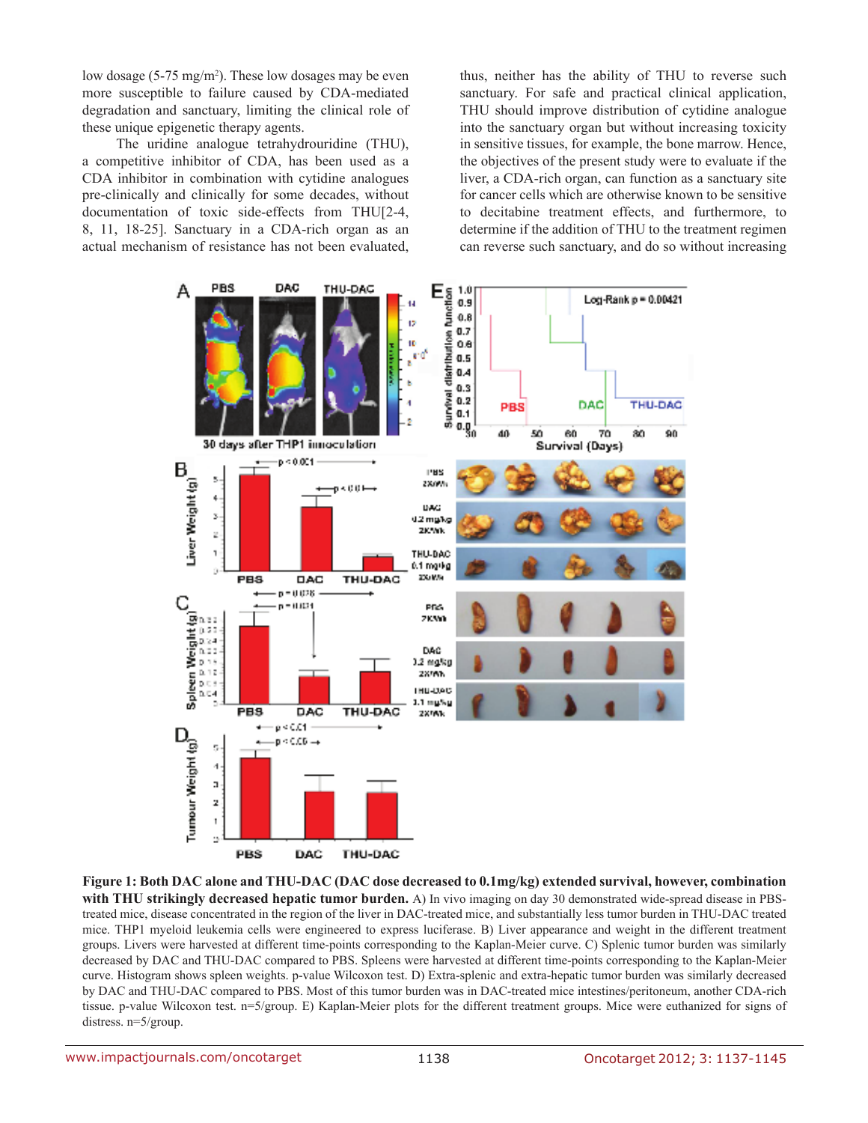low dosage (5-75 mg/m<sup>2</sup>). These low dosages may be even more susceptible to failure caused by CDA-mediated degradation and sanctuary, limiting the clinical role of these unique epigenetic therapy agents.

The uridine analogue tetrahydrouridine (THU), a competitive inhibitor of CDA, has been used as a CDA inhibitor in combination with cytidine analogues pre-clinically and clinically for some decades, without documentation of toxic side-effects from THU[2-4, 8, 11, 18-25]. Sanctuary in a CDA-rich organ as an actual mechanism of resistance has not been evaluated, thus, neither has the ability of THU to reverse such sanctuary. For safe and practical clinical application, THU should improve distribution of cytidine analogue into the sanctuary organ but without increasing toxicity in sensitive tissues, for example, the bone marrow. Hence, the objectives of the present study were to evaluate if the liver, a CDA-rich organ, can function as a sanctuary site for cancer cells which are otherwise known to be sensitive to decitabine treatment effects, and furthermore, to determine if the addition of THU to the treatment regimen can reverse such sanctuary, and do so without increasing



**Figure 1: Both DAC alone and THU-DAC (DAC dose decreased to 0.1mg/kg) extended survival, however, combination with THU strikingly decreased hepatic tumor burden.** A) In vivo imaging on day 30 demonstrated wide-spread disease in PBStreated mice, disease concentrated in the region of the liver in DAC-treated mice, and substantially less tumor burden in THU-DAC treated mice. THP1 myeloid leukemia cells were engineered to express luciferase. B) Liver appearance and weight in the different treatment groups. Livers were harvested at different time-points corresponding to the Kaplan-Meier curve. C) Splenic tumor burden was similarly decreased by DAC and THU-DAC compared to PBS. Spleens were harvested at different time-points corresponding to the Kaplan-Meier curve. Histogram shows spleen weights. p-value Wilcoxon test. D) Extra-splenic and extra-hepatic tumor burden was similarly decreased by DAC and THU-DAC compared to PBS. Most of this tumor burden was in DAC-treated mice intestines/peritoneum, another CDA-rich tissue. p-value Wilcoxon test. n=5/group. E) Kaplan-Meier plots for the different treatment groups. Mice were euthanized for signs of distress. n=5/group.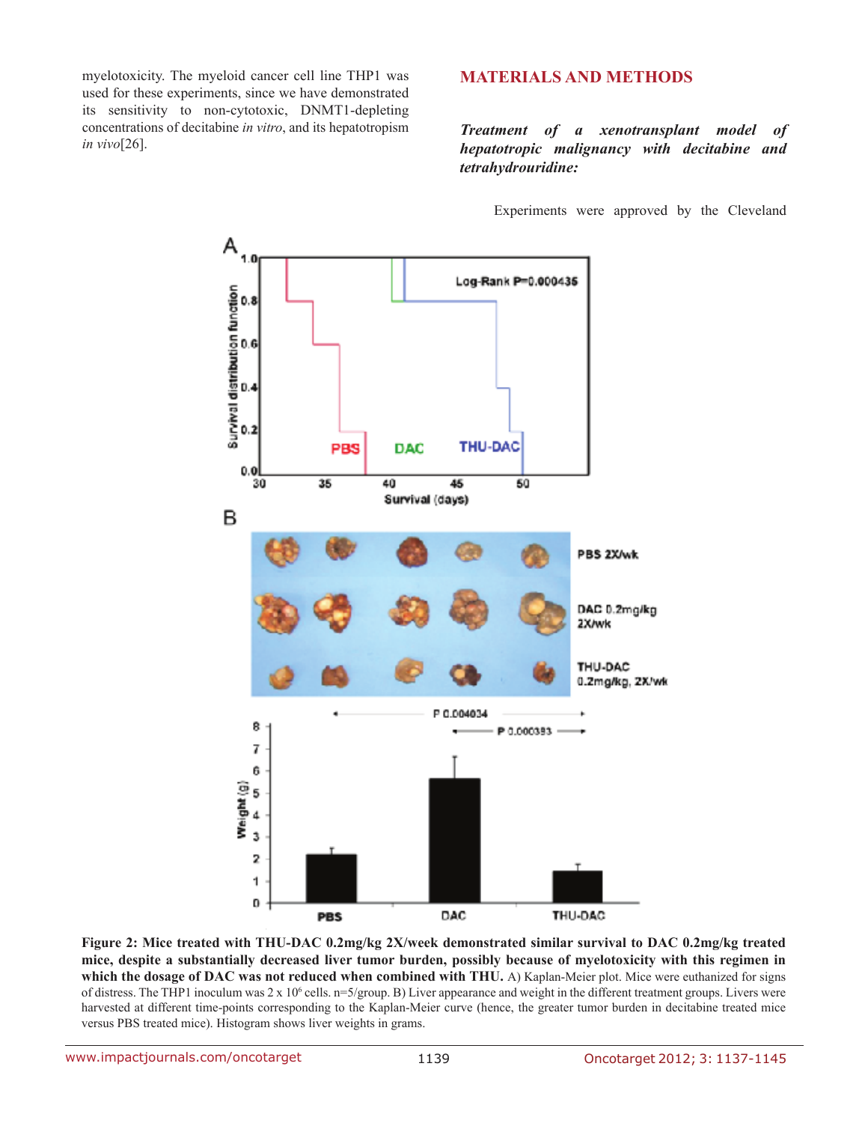myelotoxicity. The myeloid cancer cell line THP1 was used for these experiments, since we have demonstrated its sensitivity to non-cytotoxic, DNMT1-depleting concentrations of decitabine *in vitro*, and its hepatotropism *in vivo*[26].

## **MATERIALS AND METHODS**

*Treatment of a xenotransplant model of hepatotropic malignancy with decitabine and tetrahydrouridine:*

Experiments were approved by the Cleveland



**Figure 2: Mice treated with THU-DAC 0.2mg/kg 2X/week demonstrated similar survival to DAC 0.2mg/kg treated mice, despite a substantially decreased liver tumor burden, possibly because of myelotoxicity with this regimen in which the dosage of DAC was not reduced when combined with THU.** A) Kaplan-Meier plot. Mice were euthanized for signs of distress. The THP1 inoculum was  $2 \times 10^6$  cells.  $n=5$ /group. B) Liver appearance and weight in the different treatment groups. Livers were harvested at different time-points corresponding to the Kaplan-Meier curve (hence, the greater tumor burden in decitabine treated mice versus PBS treated mice). Histogram shows liver weights in grams.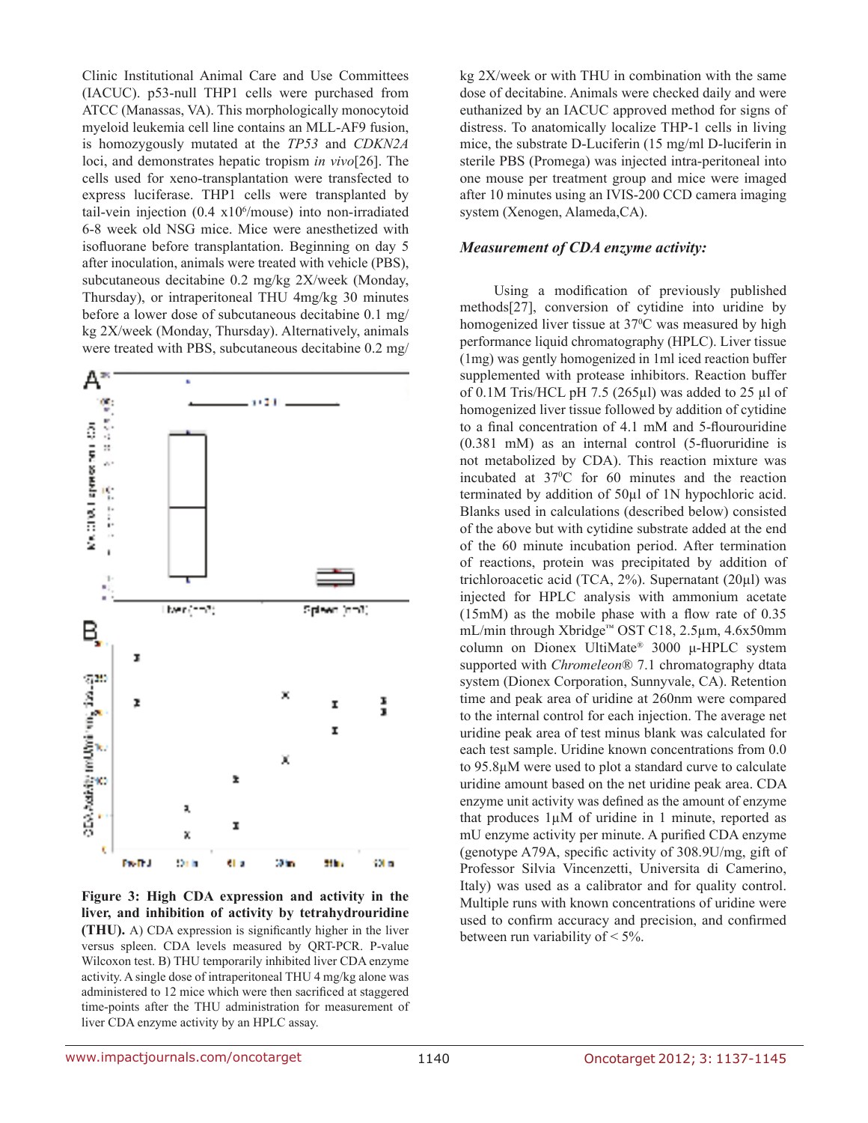Clinic Institutional Animal Care and Use Committees (IACUC). p53-null THP1 cells were purchased from ATCC (Manassas, VA). This morphologically monocytoid myeloid leukemia cell line contains an MLL-AF9 fusion, is homozygously mutated at the *TP53* and *CDKN2A* loci, and demonstrates hepatic tropism *in vivo*[26]. The cells used for xeno-transplantation were transfected to express luciferase. THP1 cells were transplanted by tail-vein injection  $(0.4 \times 10^6/m$ ouse) into non-irradiated 6-8 week old NSG mice. Mice were anesthetized with isofluorane before transplantation. Beginning on day 5 after inoculation, animals were treated with vehicle (PBS), subcutaneous decitabine 0.2 mg/kg 2X/week (Monday, Thursday), or intraperitoneal THU 4mg/kg 30 minutes before a lower dose of subcutaneous decitabine 0.1 mg/ kg 2X/week (Monday, Thursday). Alternatively, animals were treated with PBS, subcutaneous decitabine 0.2 mg/



**Figure 3: High CDA expression and activity in the liver, and inhibition of activity by tetrahydrouridine (THU).** A) CDA expression is significantly higher in the liver versus spleen. CDA levels measured by QRT-PCR. P-value Wilcoxon test. B) THU temporarily inhibited liver CDA enzyme activity. A single dose of intraperitoneal THU 4 mg/kg alone was administered to 12 mice which were then sacrificed at staggered time-points after the THU administration for measurement of liver CDA enzyme activity by an HPLC assay.

kg 2X/week or with THU in combination with the same dose of decitabine. Animals were checked daily and were euthanized by an IACUC approved method for signs of distress. To anatomically localize THP-1 cells in living mice, the substrate D-Luciferin (15 mg/ml D-luciferin in sterile PBS (Promega) was injected intra-peritoneal into one mouse per treatment group and mice were imaged after 10 minutes using an IVIS-200 CCD camera imaging system (Xenogen, Alameda,CA).

#### *Measurement of CDA enzyme activity:*

Using a modification of previously published methods[27], conversion of cytidine into uridine by homogenized liver tissue at 37<sup>o</sup>C was measured by high performance liquid chromatography (HPLC). Liver tissue (1mg) was gently homogenized in 1ml iced reaction buffer supplemented with protease inhibitors. Reaction buffer of 0.1M Tris/HCL pH 7.5 (265 $\mu$ l) was added to 25  $\mu$ l of homogenized liver tissue followed by addition of cytidine to a final concentration of 4.1 mM and 5-flourouridine (0.381 mM) as an internal control (5-fluoruridine is not metabolized by CDA). This reaction mixture was incubated at 37<sup>o</sup>C for 60 minutes and the reaction terminated by addition of 50µl of 1N hypochloric acid. Blanks used in calculations (described below) consisted of the above but with cytidine substrate added at the end of the 60 minute incubation period. After termination of reactions, protein was precipitated by addition of trichloroacetic acid (TCA, 2%). Supernatant (20µl) was injected for HPLC analysis with ammonium acetate (15mM) as the mobile phase with a flow rate of 0.35 mL/min through Xbridge™ OST C18, 2.5µm, 4.6x50mm column on Dionex UltiMate® 3000 μ-HPLC system supported with *Chromeleon*® 7.1 chromatography dtata system (Dionex Corporation, Sunnyvale, CA). Retention time and peak area of uridine at 260nm were compared to the internal control for each injection. The average net uridine peak area of test minus blank was calculated for each test sample. Uridine known concentrations from 0.0 to 95.8µM were used to plot a standard curve to calculate uridine amount based on the net uridine peak area. CDA enzyme unit activity was defined as the amount of enzyme that produces  $1\mu$ M of uridine in 1 minute, reported as mU enzyme activity per minute. A purified CDA enzyme (genotype A79A, specific activity of 308.9U/mg, gift of Professor Silvia Vincenzetti, Universita di Camerino, Italy) was used as a calibrator and for quality control. Multiple runs with known concentrations of uridine were used to confirm accuracy and precision, and confirmed between run variability of < 5%.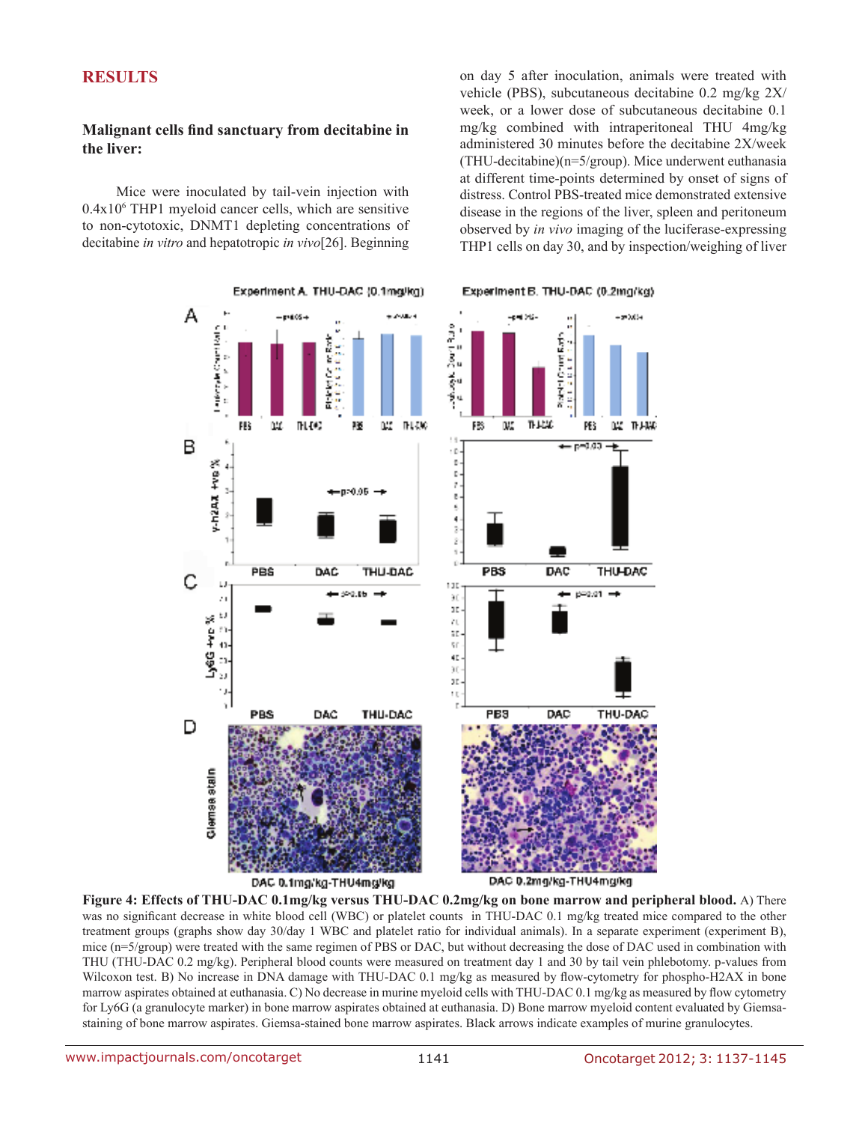## **RESULTS**

## **Malignant cells find sanctuary from decitabine in the liver:**

Mice were inoculated by tail-vein injection with 0.4x106 THP1 myeloid cancer cells, which are sensitive to non-cytotoxic, DNMT1 depleting concentrations of decitabine *in vitro* and hepatotropic *in vivo*[26]. Beginning

on day 5 after inoculation, animals were treated with vehicle (PBS), subcutaneous decitabine 0.2 mg/kg 2X/ week, or a lower dose of subcutaneous decitabine 0.1 mg/kg combined with intraperitoneal THU 4mg/kg administered 30 minutes before the decitabine 2X/week (THU-decitabine)(n=5/group). Mice underwent euthanasia at different time-points determined by onset of signs of distress. Control PBS-treated mice demonstrated extensive disease in the regions of the liver, spleen and peritoneum observed by *in vivo* imaging of the luciferase-expressing THP1 cells on day 30, and by inspection/weighing of liver



**Figure 4: Effects of THU-DAC 0.1mg/kg versus THU-DAC 0.2mg/kg on bone marrow and peripheral blood.** A) There was no significant decrease in white blood cell (WBC) or platelet counts in THU-DAC 0.1 mg/kg treated mice compared to the other treatment groups (graphs show day 30/day 1 WBC and platelet ratio for individual animals). In a separate experiment (experiment B), mice (n=5/group) were treated with the same regimen of PBS or DAC, but without decreasing the dose of DAC used in combination with THU (THU-DAC 0.2 mg/kg). Peripheral blood counts were measured on treatment day 1 and 30 by tail vein phlebotomy. p-values from Wilcoxon test. B) No increase in DNA damage with THU-DAC 0.1 mg/kg as measured by flow-cytometry for phospho-H2AX in bone marrow aspirates obtained at euthanasia. C) No decrease in murine myeloid cells with THU-DAC 0.1 mg/kg as measured by flow cytometry for Ly6G (a granulocyte marker) in bone marrow aspirates obtained at euthanasia. D) Bone marrow myeloid content evaluated by Giemsastaining of bone marrow aspirates. Giemsa-stained bone marrow aspirates. Black arrows indicate examples of murine granulocytes.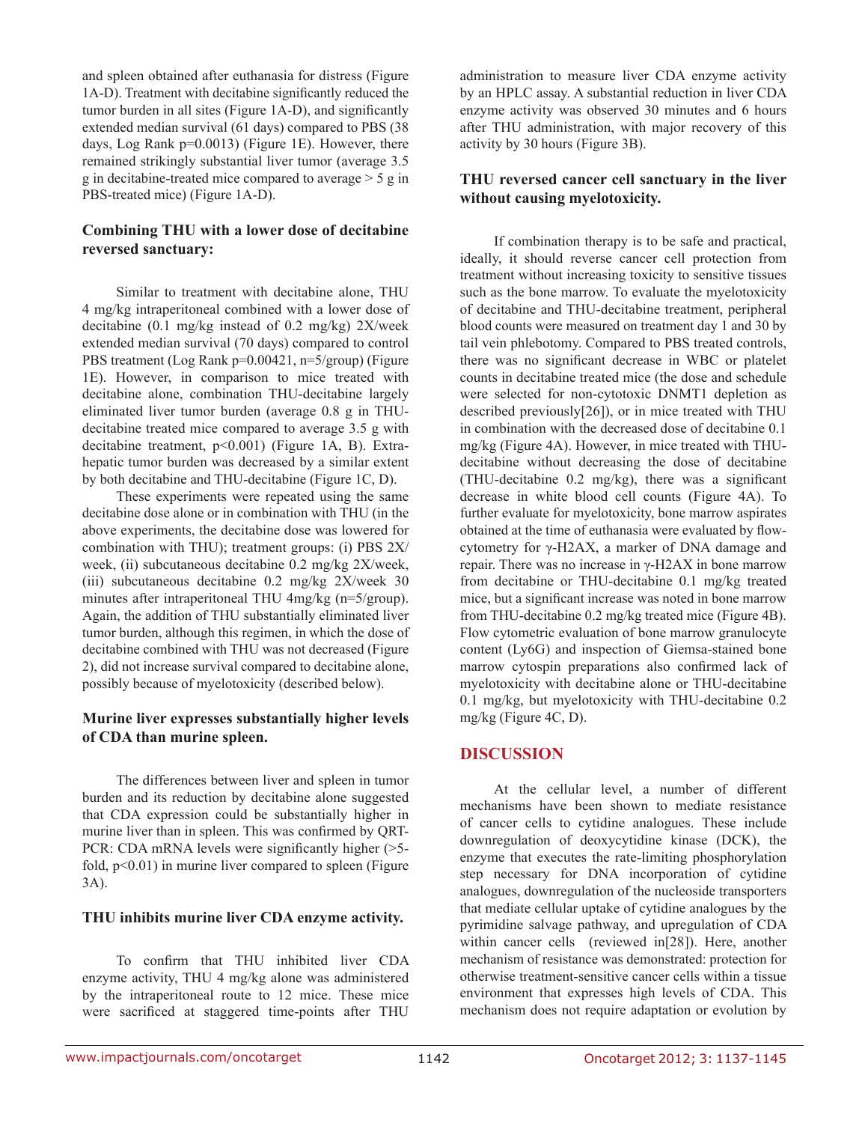and spleen obtained after euthanasia for distress (Figure 1A-D). Treatment with decitabine significantly reduced the tumor burden in all sites (Figure 1A-D), and significantly extended median survival (61 days) compared to PBS (38 days, Log Rank p=0.0013) (Figure 1E). However, there remained strikingly substantial liver tumor (average 3.5 g in decitabine-treated mice compared to average > 5 g in PBS-treated mice) (Figure 1A-D).

## **Combining THU with a lower dose of decitabine reversed sanctuary:**

Similar to treatment with decitabine alone, THU 4 mg/kg intraperitoneal combined with a lower dose of decitabine (0.1 mg/kg instead of 0.2 mg/kg) 2X/week extended median survival (70 days) compared to control PBS treatment (Log Rank p=0.00421, n=5/group) (Figure 1E). However, in comparison to mice treated with decitabine alone, combination THU-decitabine largely eliminated liver tumor burden (average 0.8 g in THUdecitabine treated mice compared to average 3.5 g with decitabine treatment, p<0.001) (Figure 1A, B). Extrahepatic tumor burden was decreased by a similar extent by both decitabine and THU-decitabine (Figure 1C, D).

These experiments were repeated using the same decitabine dose alone or in combination with THU (in the above experiments, the decitabine dose was lowered for combination with THU); treatment groups: (i) PBS 2X/ week, (ii) subcutaneous decitabine 0.2 mg/kg 2X/week, (iii) subcutaneous decitabine 0.2 mg/kg 2X/week 30 minutes after intraperitoneal THU 4mg/kg (n=5/group). Again, the addition of THU substantially eliminated liver tumor burden, although this regimen, in which the dose of decitabine combined with THU was not decreased (Figure 2), did not increase survival compared to decitabine alone, possibly because of myelotoxicity (described below).

#### **Murine liver expresses substantially higher levels of CDA than murine spleen.**

The differences between liver and spleen in tumor burden and its reduction by decitabine alone suggested that CDA expression could be substantially higher in murine liver than in spleen. This was confirmed by QRT-PCR: CDA mRNA levels were significantly higher (>5 fold,  $p<0.01$ ) in murine liver compared to spleen (Figure 3A).

#### **THU inhibits murine liver CDA enzyme activity.**

To confirm that THU inhibited liver CDA enzyme activity, THU 4 mg/kg alone was administered by the intraperitoneal route to 12 mice. These mice were sacrificed at staggered time-points after THU administration to measure liver CDA enzyme activity by an HPLC assay. A substantial reduction in liver CDA enzyme activity was observed 30 minutes and 6 hours after THU administration, with major recovery of this activity by 30 hours (Figure 3B).

## **THU reversed cancer cell sanctuary in the liver without causing myelotoxicity.**

If combination therapy is to be safe and practical, ideally, it should reverse cancer cell protection from treatment without increasing toxicity to sensitive tissues such as the bone marrow. To evaluate the myelotoxicity of decitabine and THU-decitabine treatment, peripheral blood counts were measured on treatment day 1 and 30 by tail vein phlebotomy. Compared to PBS treated controls, there was no significant decrease in WBC or platelet counts in decitabine treated mice (the dose and schedule were selected for non-cytotoxic DNMT1 depletion as described previously[26]), or in mice treated with THU in combination with the decreased dose of decitabine 0.1 mg/kg (Figure 4A). However, in mice treated with THUdecitabine without decreasing the dose of decitabine (THU-decitabine 0.2 mg/kg), there was a significant decrease in white blood cell counts (Figure 4A). To further evaluate for myelotoxicity, bone marrow aspirates obtained at the time of euthanasia were evaluated by flowcytometry for γ-H2AX, a marker of DNA damage and repair. There was no increase in γ-H2AX in bone marrow from decitabine or THU-decitabine 0.1 mg/kg treated mice, but a significant increase was noted in bone marrow from THU-decitabine 0.2 mg/kg treated mice (Figure 4B). Flow cytometric evaluation of bone marrow granulocyte content (Ly6G) and inspection of Giemsa-stained bone marrow cytospin preparations also confirmed lack of myelotoxicity with decitabine alone or THU-decitabine 0.1 mg/kg, but myelotoxicity with THU-decitabine 0.2 mg/kg (Figure 4C, D).

# **DISCUSSION**

At the cellular level, a number of different mechanisms have been shown to mediate resistance of cancer cells to cytidine analogues. These include downregulation of deoxycytidine kinase (DCK), the enzyme that executes the rate-limiting phosphorylation step necessary for DNA incorporation of cytidine analogues, downregulation of the nucleoside transporters that mediate cellular uptake of cytidine analogues by the pyrimidine salvage pathway, and upregulation of CDA within cancer cells (reviewed in[28]). Here, another mechanism of resistance was demonstrated: protection for otherwise treatment-sensitive cancer cells within a tissue environment that expresses high levels of CDA. This mechanism does not require adaptation or evolution by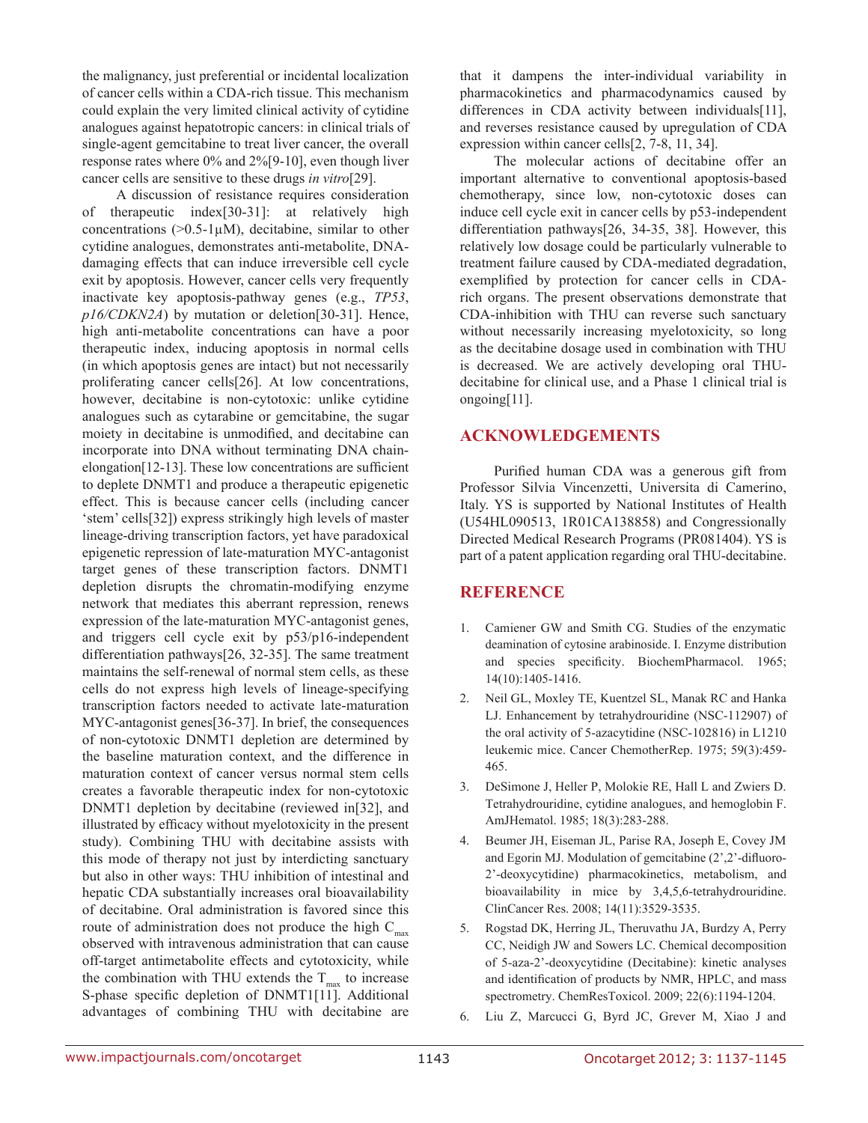the malignancy, just preferential or incidental localization of cancer cells within a CDA-rich tissue. This mechanism could explain the very limited clinical activity of cytidine analogues against hepatotropic cancers: in clinical trials of single-agent gemcitabine to treat liver cancer, the overall response rates where 0% and 2%[9-10], even though liver cancer cells are sensitive to these drugs *in vitro*[29].

A discussion of resistance requires consideration of therapeutic index[30-31]: at relatively high concentrations ( $>0.5-1\mu$ M), decitabine, similar to other cytidine analogues, demonstrates anti-metabolite, DNAdamaging effects that can induce irreversible cell cycle exit by apoptosis. However, cancer cells very frequently inactivate key apoptosis-pathway genes (e.g., *TP53*, *p16/CDKN2A*) by mutation or deletion[30-31]. Hence, high anti-metabolite concentrations can have a poor therapeutic index, inducing apoptosis in normal cells (in which apoptosis genes are intact) but not necessarily proliferating cancer cells[26]. At low concentrations, however, decitabine is non-cytotoxic: unlike cytidine analogues such as cytarabine or gemcitabine, the sugar moiety in decitabine is unmodified, and decitabine can incorporate into DNA without terminating DNA chainelongation[12-13]. These low concentrations are sufficient to deplete DNMT1 and produce a therapeutic epigenetic effect. This is because cancer cells (including cancer 'stem' cells[32]) express strikingly high levels of master lineage-driving transcription factors, yet have paradoxical epigenetic repression of late-maturation MYC-antagonist target genes of these transcription factors. DNMT1 depletion disrupts the chromatin-modifying enzyme network that mediates this aberrant repression, renews expression of the late-maturation MYC-antagonist genes, and triggers cell cycle exit by p53/p16-independent differentiation pathways[26, 32-35]. The same treatment maintains the self-renewal of normal stem cells, as these cells do not express high levels of lineage-specifying transcription factors needed to activate late-maturation MYC-antagonist genes[36-37]. In brief, the consequences of non-cytotoxic DNMT1 depletion are determined by the baseline maturation context, and the difference in maturation context of cancer versus normal stem cells creates a favorable therapeutic index for non-cytotoxic DNMT1 depletion by decitabine (reviewed in[32], and illustrated by efficacy without myelotoxicity in the present study). Combining THU with decitabine assists with this mode of therapy not just by interdicting sanctuary but also in other ways: THU inhibition of intestinal and hepatic CDA substantially increases oral bioavailability of decitabine. Oral administration is favored since this route of administration does not produce the high  $C_{\text{max}}$ observed with intravenous administration that can cause off-target antimetabolite effects and cytotoxicity, while the combination with THU extends the  $T_{\text{max}}$  to increase S-phase specific depletion of DNMT1[11]. Additional advantages of combining THU with decitabine are that it dampens the inter-individual variability in pharmacokinetics and pharmacodynamics caused by differences in CDA activity between individuals[11], and reverses resistance caused by upregulation of CDA expression within cancer cells[2, 7-8, 11, 34].

The molecular actions of decitabine offer an important alternative to conventional apoptosis-based chemotherapy, since low, non-cytotoxic doses can induce cell cycle exit in cancer cells by p53-independent differentiation pathways[26, 34-35, 38]. However, this relatively low dosage could be particularly vulnerable to treatment failure caused by CDA-mediated degradation, exemplified by protection for cancer cells in CDArich organs. The present observations demonstrate that CDA-inhibition with THU can reverse such sanctuary without necessarily increasing myelotoxicity, so long as the decitabine dosage used in combination with THU is decreased. We are actively developing oral THUdecitabine for clinical use, and a Phase 1 clinical trial is ongoing[11].

## **ACKNOWLEDGEMENTS**

Purified human CDA was a generous gift from Professor Silvia Vincenzetti, Universita di Camerino, Italy. YS is supported by National Institutes of Health (U54HL090513, 1R01CA138858) and Congressionally Directed Medical Research Programs (PR081404). YS is part of a patent application regarding oral THU-decitabine.

# **Reference**

- 1. Camiener GW and Smith CG. Studies of the enzymatic deamination of cytosine arabinoside. I. Enzyme distribution and species specificity. BiochemPharmacol. 1965; 14(10):1405-1416.
- 2. Neil GL, Moxley TE, Kuentzel SL, Manak RC and Hanka LJ. Enhancement by tetrahydrouridine (NSC-112907) of the oral activity of 5-azacytidine (NSC-102816) in L1210 leukemic mice. Cancer ChemotherRep. 1975; 59(3):459- 465.
- 3. DeSimone J, Heller P, Molokie RE, Hall L and Zwiers D. Tetrahydrouridine, cytidine analogues, and hemoglobin F. AmJHematol. 1985; 18(3):283-288.
- 4. Beumer JH, Eiseman JL, Parise RA, Joseph E, Covey JM and Egorin MJ. Modulation of gemcitabine (2',2'-difluoro-2'-deoxycytidine) pharmacokinetics, metabolism, and bioavailability in mice by 3,4,5,6-tetrahydrouridine. ClinCancer Res. 2008; 14(11):3529-3535.
- 5. Rogstad DK, Herring JL, Theruvathu JA, Burdzy A, Perry CC, Neidigh JW and Sowers LC. Chemical decomposition of 5-aza-2'-deoxycytidine (Decitabine): kinetic analyses and identification of products by NMR, HPLC, and mass spectrometry. ChemResToxicol. 2009; 22(6):1194-1204.
- 6. Liu Z, Marcucci G, Byrd JC, Grever M, Xiao J and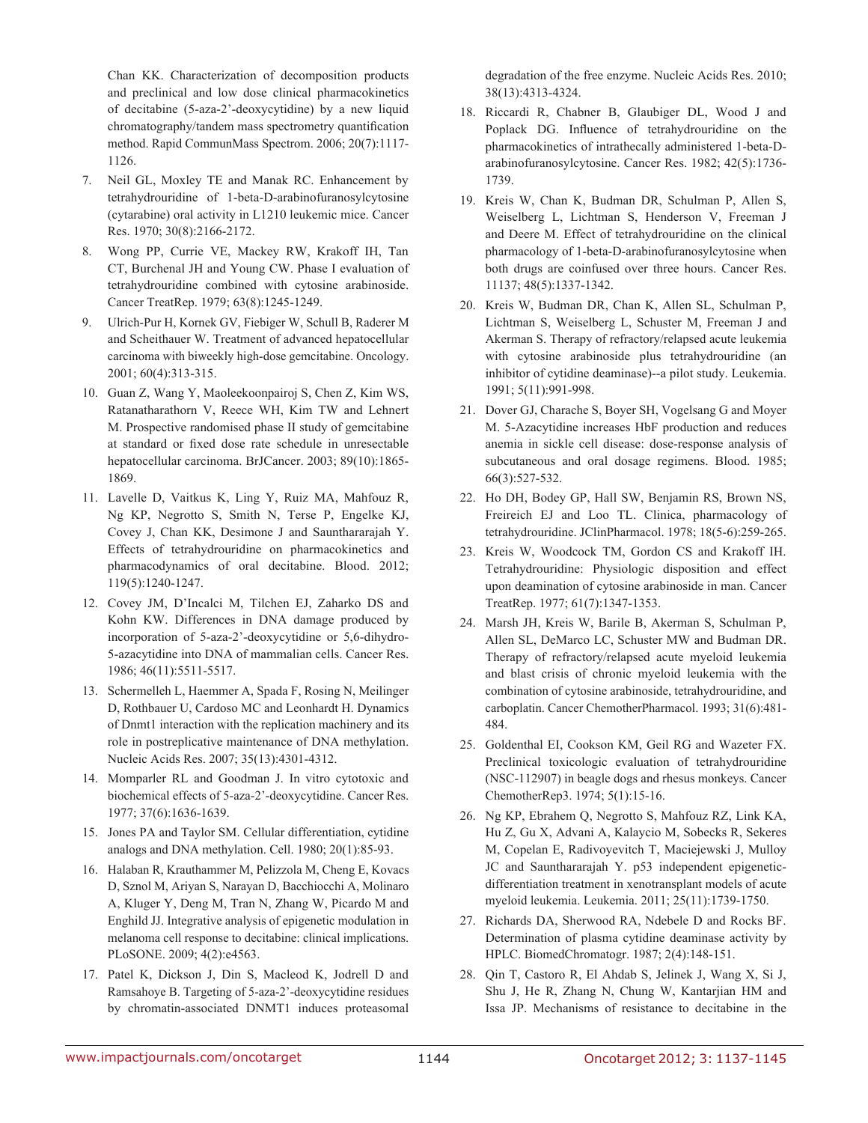Chan KK. Characterization of decomposition products and preclinical and low dose clinical pharmacokinetics of decitabine (5-aza-2'-deoxycytidine) by a new liquid chromatography/tandem mass spectrometry quantification method. Rapid CommunMass Spectrom. 2006; 20(7):1117- 1126.

- 7. Neil GL, Moxley TE and Manak RC. Enhancement by tetrahydrouridine of 1-beta-D-arabinofuranosylcytosine (cytarabine) oral activity in L1210 leukemic mice. Cancer Res. 1970; 30(8):2166-2172.
- 8. Wong PP, Currie VE, Mackey RW, Krakoff IH, Tan CT, Burchenal JH and Young CW. Phase I evaluation of tetrahydrouridine combined with cytosine arabinoside. Cancer TreatRep. 1979; 63(8):1245-1249.
- 9. Ulrich-Pur H, Kornek GV, Fiebiger W, Schull B, Raderer M and Scheithauer W. Treatment of advanced hepatocellular carcinoma with biweekly high-dose gemcitabine. Oncology. 2001; 60(4):313-315.
- 10. Guan Z, Wang Y, Maoleekoonpairoj S, Chen Z, Kim WS, Ratanatharathorn V, Reece WH, Kim TW and Lehnert M. Prospective randomised phase II study of gemcitabine at standard or fixed dose rate schedule in unresectable hepatocellular carcinoma. BrJCancer. 2003; 89(10):1865- 1869.
- 11. Lavelle D, Vaitkus K, Ling Y, Ruiz MA, Mahfouz R, Ng KP, Negrotto S, Smith N, Terse P, Engelke KJ, Covey J, Chan KK, Desimone J and Saunthararajah Y. Effects of tetrahydrouridine on pharmacokinetics and pharmacodynamics of oral decitabine. Blood. 2012; 119(5):1240-1247.
- 12. Covey JM, D'Incalci M, Tilchen EJ, Zaharko DS and Kohn KW. Differences in DNA damage produced by incorporation of 5-aza-2'-deoxycytidine or 5,6-dihydro-5-azacytidine into DNA of mammalian cells. Cancer Res. 1986; 46(11):5511-5517.
- 13. Schermelleh L, Haemmer A, Spada F, Rosing N, Meilinger D, Rothbauer U, Cardoso MC and Leonhardt H. Dynamics of Dnmt1 interaction with the replication machinery and its role in postreplicative maintenance of DNA methylation. Nucleic Acids Res. 2007; 35(13):4301-4312.
- 14. Momparler RL and Goodman J. In vitro cytotoxic and biochemical effects of 5-aza-2'-deoxycytidine. Cancer Res. 1977; 37(6):1636-1639.
- 15. Jones PA and Taylor SM. Cellular differentiation, cytidine analogs and DNA methylation. Cell. 1980; 20(1):85-93.
- 16. Halaban R, Krauthammer M, Pelizzola M, Cheng E, Kovacs D, Sznol M, Ariyan S, Narayan D, Bacchiocchi A, Molinaro A, Kluger Y, Deng M, Tran N, Zhang W, Picardo M and Enghild JJ. Integrative analysis of epigenetic modulation in melanoma cell response to decitabine: clinical implications. PLoSONE. 2009; 4(2):e4563.
- 17. Patel K, Dickson J, Din S, Macleod K, Jodrell D and Ramsahoye B. Targeting of 5-aza-2'-deoxycytidine residues by chromatin-associated DNMT1 induces proteasomal

degradation of the free enzyme. Nucleic Acids Res. 2010; 38(13):4313-4324.

- 18. Riccardi R, Chabner B, Glaubiger DL, Wood J and Poplack DG. Influence of tetrahydrouridine on the pharmacokinetics of intrathecally administered 1-beta-Darabinofuranosylcytosine. Cancer Res. 1982; 42(5):1736- 1739.
- 19. Kreis W, Chan K, Budman DR, Schulman P, Allen S, Weiselberg L, Lichtman S, Henderson V, Freeman J and Deere M. Effect of tetrahydrouridine on the clinical pharmacology of 1-beta-D-arabinofuranosylcytosine when both drugs are coinfused over three hours. Cancer Res. 11137; 48(5):1337-1342.
- 20. Kreis W, Budman DR, Chan K, Allen SL, Schulman P, Lichtman S, Weiselberg L, Schuster M, Freeman J and Akerman S. Therapy of refractory/relapsed acute leukemia with cytosine arabinoside plus tetrahydrouridine (an inhibitor of cytidine deaminase)--a pilot study. Leukemia. 1991; 5(11):991-998.
- 21. Dover GJ, Charache S, Boyer SH, Vogelsang G and Moyer M. 5-Azacytidine increases HbF production and reduces anemia in sickle cell disease: dose-response analysis of subcutaneous and oral dosage regimens. Blood. 1985; 66(3):527-532.
- 22. Ho DH, Bodey GP, Hall SW, Benjamin RS, Brown NS, Freireich EJ and Loo TL. Clinica, pharmacology of tetrahydrouridine. JClinPharmacol. 1978; 18(5-6):259-265.
- 23. Kreis W, Woodcock TM, Gordon CS and Krakoff IH. Tetrahydrouridine: Physiologic disposition and effect upon deamination of cytosine arabinoside in man. Cancer TreatRep. 1977; 61(7):1347-1353.
- 24. Marsh JH, Kreis W, Barile B, Akerman S, Schulman P, Allen SL, DeMarco LC, Schuster MW and Budman DR. Therapy of refractory/relapsed acute myeloid leukemia and blast crisis of chronic myeloid leukemia with the combination of cytosine arabinoside, tetrahydrouridine, and carboplatin. Cancer ChemotherPharmacol. 1993; 31(6):481- 484.
- 25. Goldenthal EI, Cookson KM, Geil RG and Wazeter FX. Preclinical toxicologic evaluation of tetrahydrouridine (NSC-112907) in beagle dogs and rhesus monkeys. Cancer ChemotherRep3. 1974; 5(1):15-16.
- 26. Ng KP, Ebrahem Q, Negrotto S, Mahfouz RZ, Link KA, Hu Z, Gu X, Advani A, Kalaycio M, Sobecks R, Sekeres M, Copelan E, Radivoyevitch T, Maciejewski J, Mulloy JC and Saunthararajah Y. p53 independent epigeneticdifferentiation treatment in xenotransplant models of acute myeloid leukemia. Leukemia. 2011; 25(11):1739-1750.
- 27. Richards DA, Sherwood RA, Ndebele D and Rocks BF. Determination of plasma cytidine deaminase activity by HPLC. BiomedChromatogr. 1987; 2(4):148-151.
- 28. Qin T, Castoro R, El Ahdab S, Jelinek J, Wang X, Si J, Shu J, He R, Zhang N, Chung W, Kantarjian HM and Issa JP. Mechanisms of resistance to decitabine in the